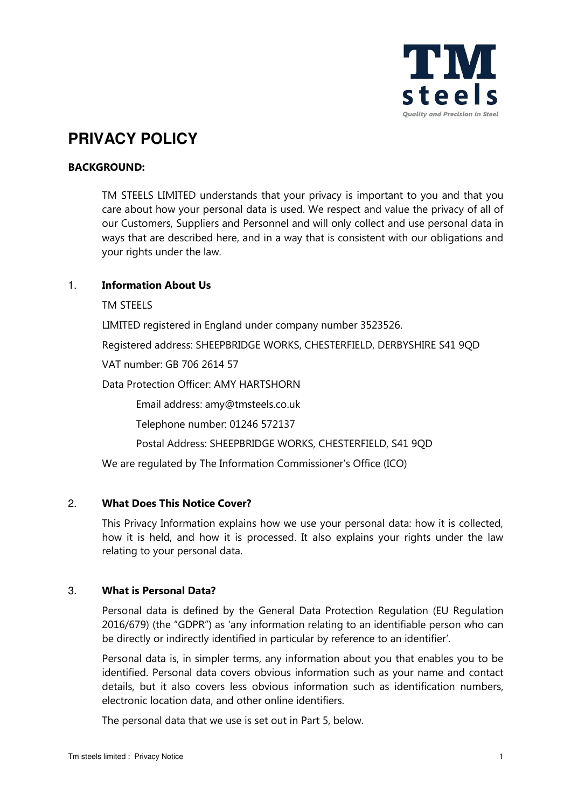

# **PRIVACY POLICY**

# **BACKGROUND:**

 TM STEELS LIMITED understands that your privacy is important to you and that you care about how your personal data is used. We respect and value the privacy of all of our Customers, Suppliers and Personnel and will only collect and use personal data in ways that are described here, and in a way that is consistent with our obligations and your rights under the law.

# 1. **Information About Us**

TM STEELS

LIMITED registered in England under company number 3523526.

Registered address: SHEEPBRIDGE WORKS, CHESTERFIELD, DERBYSHIRE S41 9QD

VAT number: GB 706 2614 57

Data Protection Officer: AMY HARTSHORN

Email address: amy@tmsteels.co.uk

Telephone number: 01246 572137

Postal Address: SHEEPBRIDGE WORKS, CHESTERFIELD, S41 9QD

We are regulated by The Information Commissioner's Office (ICO)

## 2. **What Does This Notice Cover?**

This Privacy Information explains how we use your personal data: how it is collected, how it is held, and how it is processed. It also explains your rights under the law relating to your personal data.

## 3. **What is Personal Data?**

Personal data is defined by the General Data Protection Regulation (EU Regulation 2016/679) (the "GDPR") as 'any information relating to an identifiable person who can be directly or indirectly identified in particular by reference to an identifier'.

Personal data is, in simpler terms, any information about you that enables you to be identified. Personal data covers obvious information such as your name and contact details, but it also covers less obvious information such as identification numbers, electronic location data, and other online identifiers.

The personal data that we use is set out in Part 5, below.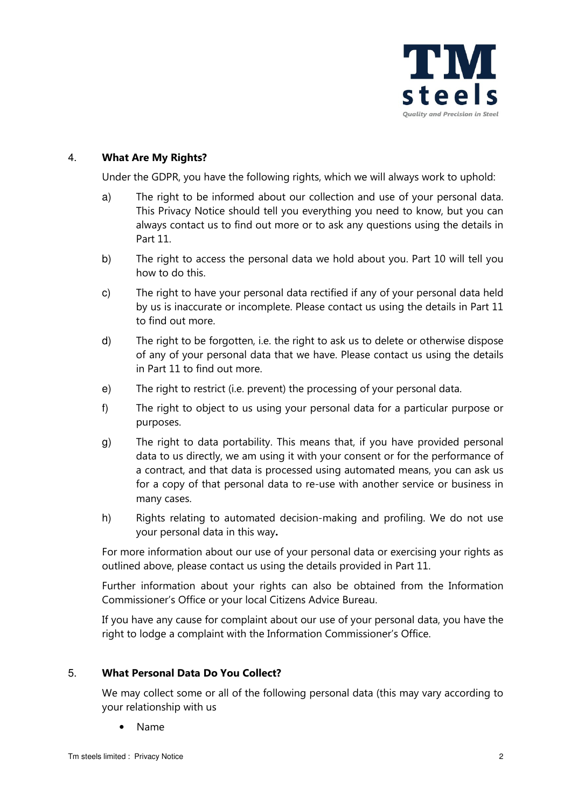

## 4. **What Are My Rights?**

Under the GDPR, you have the following rights, which we will always work to uphold:

- a) The right to be informed about our collection and use of your personal data. This Privacy Notice should tell you everything you need to know, but you can always contact us to find out more or to ask any questions using the details in Part 11.
- b) The right to access the personal data we hold about you. Part 10 will tell you how to do this.
- c) The right to have your personal data rectified if any of your personal data held by us is inaccurate or incomplete. Please contact us using the details in Part 11 to find out more.
- d) The right to be forgotten, i.e. the right to ask us to delete or otherwise dispose of any of your personal data that we have. Please contact us using the details in Part 11 to find out more.
- e) The right to restrict (i.e. prevent) the processing of your personal data.
- f) The right to object to us using your personal data for a particular purpose or purposes.
- g) The right to data portability. This means that, if you have provided personal data to us directly, we am using it with your consent or for the performance of a contract, and that data is processed using automated means, you can ask us for a copy of that personal data to re-use with another service or business in many cases.
- h) Rights relating to automated decision-making and profiling. We do not use your personal data in this way**.**

For more information about our use of your personal data or exercising your rights as outlined above, please contact us using the details provided in Part 11.

Further information about your rights can also be obtained from the Information Commissioner's Office or your local Citizens Advice Bureau.

If you have any cause for complaint about our use of your personal data, you have the right to lodge a complaint with the Information Commissioner's Office.

## 5. **What Personal Data Do You Collect?**

We may collect some or all of the following personal data (this may vary according to your relationship with us

• Name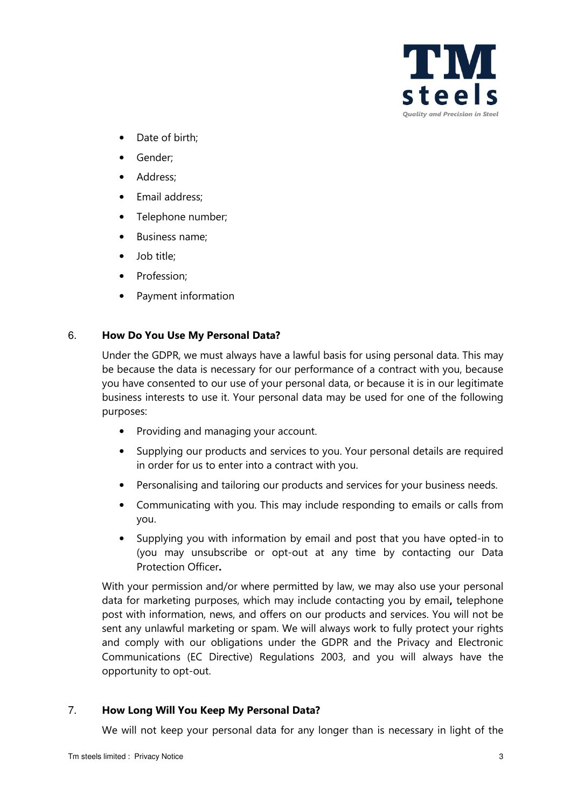

- Date of birth:
- Gender;
- Address;
- Email address;
- Telephone number;
- Business name;
- Job title;
- Profession;
- Payment information

## 6. **How Do You Use My Personal Data?**

Under the GDPR, we must always have a lawful basis for using personal data. This may be because the data is necessary for our performance of a contract with you, because you have consented to our use of your personal data, or because it is in our legitimate business interests to use it. Your personal data may be used for one of the following purposes:

- Providing and managing your account.
- Supplying our products and services to you. Your personal details are required in order for us to enter into a contract with you.
- Personalising and tailoring our products and services for your business needs.
- Communicating with you. This may include responding to emails or calls from you.
- Supplying you with information by email and post that you have opted-in to (you may unsubscribe or opt-out at any time by contacting our Data Protection Officer**.**

With your permission and/or where permitted by law, we may also use your personal data for marketing purposes, which may include contacting you by email**,** telephone post with information, news, and offers on our products and services. You will not be sent any unlawful marketing or spam. We will always work to fully protect your rights and comply with our obligations under the GDPR and the Privacy and Electronic Communications (EC Directive) Regulations 2003, and you will always have the opportunity to opt-out.

# 7. **How Long Will You Keep My Personal Data?**

We will not keep your personal data for any longer than is necessary in light of the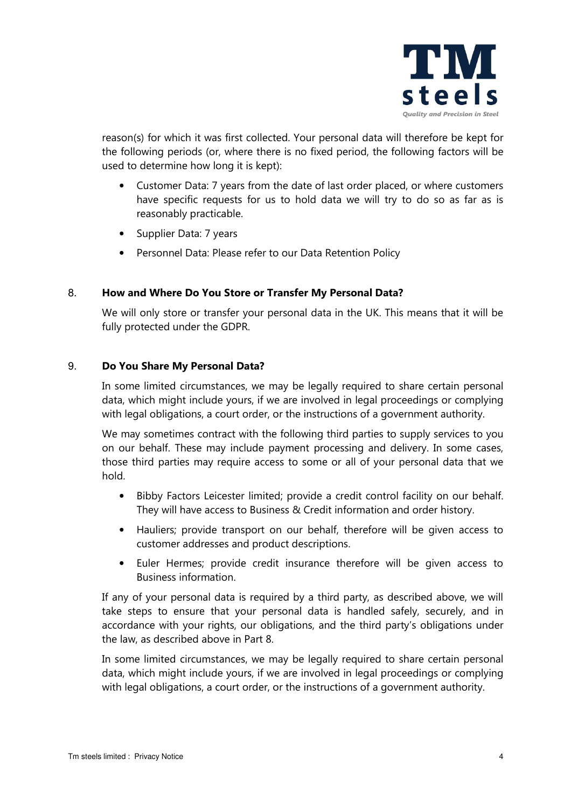

reason(s) for which it was first collected. Your personal data will therefore be kept for the following periods (or, where there is no fixed period, the following factors will be used to determine how long it is kept):

- Customer Data: 7 years from the date of last order placed, or where customers have specific requests for us to hold data we will try to do so as far as is reasonably practicable.
- Supplier Data: 7 years
- Personnel Data: Please refer to our Data Retention Policy

## 8. **How and Where Do You Store or Transfer My Personal Data?**

We will only store or transfer your personal data in the UK. This means that it will be fully protected under the GDPR.

## 9. **Do You Share My Personal Data?**

In some limited circumstances, we may be legally required to share certain personal data, which might include yours, if we are involved in legal proceedings or complying with legal obligations, a court order, or the instructions of a government authority.

We may sometimes contract with the following third parties to supply services to you on our behalf. These may include payment processing and delivery. In some cases, those third parties may require access to some or all of your personal data that we hold.

- Bibby Factors Leicester limited; provide a credit control facility on our behalf. They will have access to Business & Credit information and order history.
- Hauliers; provide transport on our behalf, therefore will be given access to customer addresses and product descriptions.
- Euler Hermes; provide credit insurance therefore will be given access to Business information.

If any of your personal data is required by a third party, as described above, we will take steps to ensure that your personal data is handled safely, securely, and in accordance with your rights, our obligations, and the third party's obligations under the law, as described above in Part 8.

In some limited circumstances, we may be legally required to share certain personal data, which might include yours, if we are involved in legal proceedings or complying with legal obligations, a court order, or the instructions of a government authority.